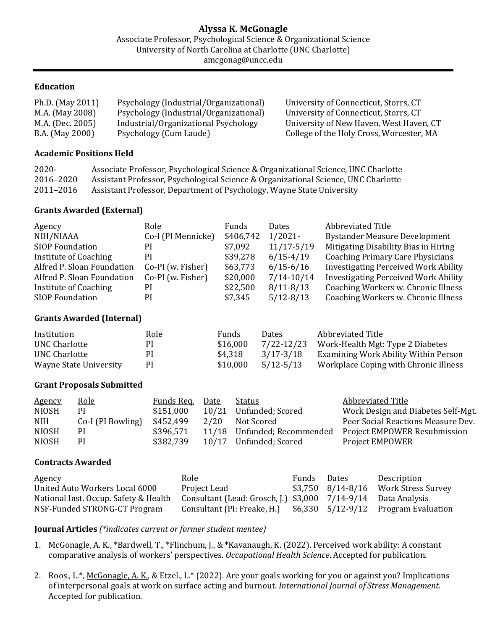## **Education**

| Ph.D. (May 2011) | Psychology (Industrial/Organizational) | University of Connecticut, Storrs, CT    |
|------------------|----------------------------------------|------------------------------------------|
| M.A. (May 2008)  | Psychology (Industrial/Organizational) | University of Connecticut, Storrs, CT    |
| M.A. (Dec. 2005) | Industrial/Organizational Psychology   | University of New Haven, West Haven, CT  |
| B.A. (May 2000)  | Psychology (Cum Laude)                 | College of the Holy Cross, Worcester, MA |

#### **Academic Positions Held**

| $2020 -$  | Associate Professor, Psychological Science & Organizational Science, UNC Charlotte |
|-----------|------------------------------------------------------------------------------------|
| 2016-2020 | Assistant Professor, Psychological Science & Organizational Science, UNC Charlotte |
| 2011-2016 | Assistant Professor, Department of Psychology, Wayne State University              |

#### **Grants Awarded (External)**

| <b>Agency</b>              | <u>Role</u>        | Funds     | Dates          | Abbreviated Title                           |
|----------------------------|--------------------|-----------|----------------|---------------------------------------------|
| NIH/NIAAA                  | Co-I (PI Mennicke) | \$406,742 | $1/2021 -$     | <b>Bystander Measure Development</b>        |
| <b>SIOP Foundation</b>     | PI                 | \$7,092   | $11/17 - 5/19$ | Mitigating Disability Bias in Hiring        |
| Institute of Coaching      | PI                 | \$39,278  | $6/15 - 4/19$  | <b>Coaching Primary Care Physicians</b>     |
| Alfred P. Sloan Foundation | Co-PI (w. Fisher)  | \$63,773  | $6/15 - 6/16$  | <b>Investigating Perceived Work Ability</b> |
| Alfred P. Sloan Foundation | Co-PI (w. Fisher)  | \$20,000  | $7/14 - 10/14$ | <b>Investigating Perceived Work Ability</b> |
| Institute of Coaching      | PI                 | \$22,500  | $8/11 - 8/13$  | Coaching Workers w. Chronic Illness         |
| <b>SIOP Foundation</b>     | PI                 | \$7,345   | $5/12 - 8/13$  | Coaching Workers w. Chronic Illness         |

## **Grants Awarded (Internal)**

| Institution            | <u>Role</u> | Funds    | Dates      | Abbreviated Title                     |
|------------------------|-------------|----------|------------|---------------------------------------|
| UNC Charlotte          | PI          | \$16,000 | 7/22-12/23 | Work-Health Mgt: Type 2 Diabetes      |
| UNC Charlotte          | PI          | \$4.318  | 3/17-3/18  | Examining Work Ability Within Person  |
| Wayne State University | PI.         | \$10,000 | 5/12-5/13  | Workplace Coping with Chronic Illness |

## **Grant Proposals Submitted**

| <b>Agency</b> | <u>Role</u>       | Funds Req. | Date | Status                      | Abbreviated Title                  |
|---------------|-------------------|------------|------|-----------------------------|------------------------------------|
| <b>NIOSH</b>  | <sub>PI</sub>     | \$151,000  |      | 10/21 Unfunded; Scored      | Work Design and Diabetes Self-Mgt. |
| <b>NIH</b>    | Co-I (PI Bowling) | \$452,499  | 2/20 | Not Scored                  | Peer Social Reactions Measure Dev. |
| <b>NIOSH</b>  | РI                | \$396,571  |      | 11/18 Unfunded; Recommended | Project EMPOWER Resubmission       |
| <b>NIOSH</b>  | PI                | \$382,739  |      | 10/17 Unfunded; Scored      | <b>Project EMPOWER</b>             |

## **Contracts Awarded**

| <b>Agency</b>                         | <u>Role</u>                                                   | Funds Dates | Description                               |
|---------------------------------------|---------------------------------------------------------------|-------------|-------------------------------------------|
| United Auto Workers Local 6000        | Project Lead                                                  |             | $$3,750$ $8/14 - 8/16$ Work Stress Survey |
| National Inst. Occup. Safety & Health | Consultant (Lead: Grosch, J.) \$3,000 7/14-9/14 Data Analysis |             |                                           |
| NSF-Funded STRONG-CT Program          | Consultant (PI: Freake, H.)                                   |             | $$6,330$ $5/12-9/12$ Program Evaluation   |

## **Journal Articles** *(\*indicates current or former student mentee)*

- 1. McGonagle, A. K., \*Bardwell, T., \*Flinchum, J., & \*Kavanaugh, K. (2022). Perceived work ability: A constant comparative analysis of workers' perspectives. *Occupational Health Science*. Accepted for publication.
- 2. Roos., L.\*, McGonagle, A. K., & Etzel., L.\* (2022). Are your goals working for you or against you? Implications of interpersonal goals at work on surface acting and burnout. *International Journal of Stress Management.* Accepted for publication.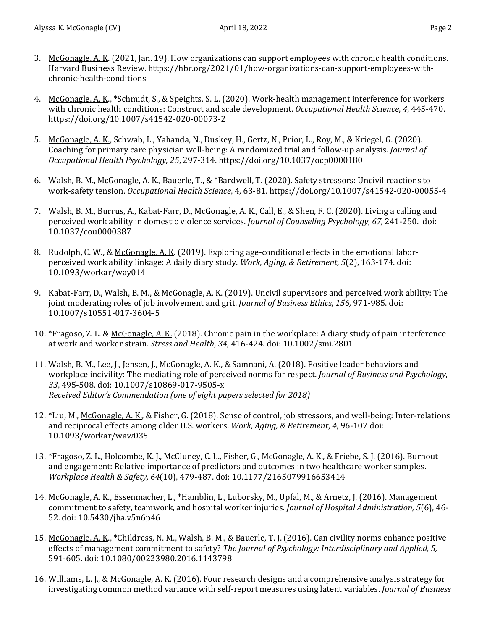- 3. McGonagle, A. K. (2021, Jan. 19). How organizations can support employees with chronic health conditions. Harvard Business Review. https://hbr.org/2021/01/how-organizations-can-support-employees-withchronic-health-conditions
- 4. McGonagle, A. K., \*Schmidt, S., & Speights, S. L. (2020). Work-health management interference for workers with chronic health conditions: Construct and scale development. *Occupational Health Science*, *4*, 445-470. https://doi.org/10.1007/s41542-020-00073-2
- 5. McGonagle, A. K., Schwab, L., Yahanda, N., Duskey, H., Gertz, N., Prior, L., Roy, M., & Kriegel, G. (2020). Coaching for primary care physician well-being: A randomized trial and follow-up analysis. *Journal of Occupational Health Psychology*, *25*, 297-314. https://doi.org/10.1037/ocp0000180
- 6. Walsh, B. M., McGonagle, A. K., Bauerle, T., & \*Bardwell, T. (2020). Safety stressors: Uncivil reactions to work-safety tension. *Occupational Health Science*, 4, 63-81. https://doi.org/10.1007/s41542-020-00055-4
- 7. Walsh, B. M., Burrus, A., Kabat-Farr, D., McGonagle, A. K., Call, E., & Shen, F. C. (2020). Living a calling and perceived work ability in domestic violence services. *Journal of Counseling Psychology, 67,* 241-250. doi: 10.1037/cou0000387
- 8. Rudolph, C. W., & McGonagle, A. K. (2019). Exploring age-conditional effects in the emotional laborperceived work ability linkage: A daily diary study. *Work, Aging, & Retirement, 5*(2), 163-174. doi: 10.1093/workar/way014
- 9. Kabat-Farr, D., Walsh, B. M., & McGonagle, A. K. (2019). Uncivil supervisors and perceived work ability: The joint moderating roles of job involvement and grit. *Journal of Business Ethics, 156,* 971-985. doi: 10.1007/s10551-017-3604-5
- 10. \*Fragoso, Z. L. & McGonagle, A. K. (2018). Chronic pain in the workplace: A diary study of pain interference at work and worker strain. *Stress and Health*, *34,* 416-424. doi: 10.1002/smi.2801
- 11. Walsh, B. M., Lee, J., Jensen, J., McGonagle, A. K., & Samnani, A. (2018). Positive leader behaviors and workplace incivility: The mediating role of perceived norms for respect. *Journal of Business and Psychology, 33*, 495-508. doi: 10.1007/s10869-017-9505-x *Received Editor's Commendation (one of eight papers selected for 2018)*
- 12. \*Liu, M., McGonagle, A. K., & Fisher, G. (2018). Sense of control, job stressors, and well-being: Inter-relations and reciprocal effects among older U.S. workers. *Work, Aging, & Retirement*, *4*, 96-107 doi: 10.1093/workar/waw035
- 13. \*Fragoso, Z. L., Holcombe, K. J., McCluney, C. L., Fisher, G., McGonagle, A. K., & Friebe, S. J. (2016). Burnout and engagement: Relative importance of predictors and outcomes in two healthcare worker samples. *Workplace Health & Safety, 64*(10), 479-487. doi: 10.1177/2165079916653414
- 14. McGonagle, A. K., Essenmacher, L., \*Hamblin, L., Luborsky, M., Upfal, M., & Arnetz, J. (2016). Management commitment to safety, teamwork, and hospital worker injuries*. Journal of Hospital Administration, 5*(6), 46- 52. doi: 10.5430/jha.v5n6p46
- 15. McGonagle, A. K., \*Childress, N. M., Walsh, B. M., & Bauerle, T. J. (2016). Can civility norms enhance positive effects of management commitment to safety? *The Journal of Psychology: Interdisciplinary and Applied, 5,*  591-605. doi: 10.1080/00223980.2016.1143798
- 16. Williams, L. J., & McGonagle, A. K. (2016). Four research designs and a comprehensive analysis strategy for investigating common method variance with self-report measures using latent variables. *Journal of Business*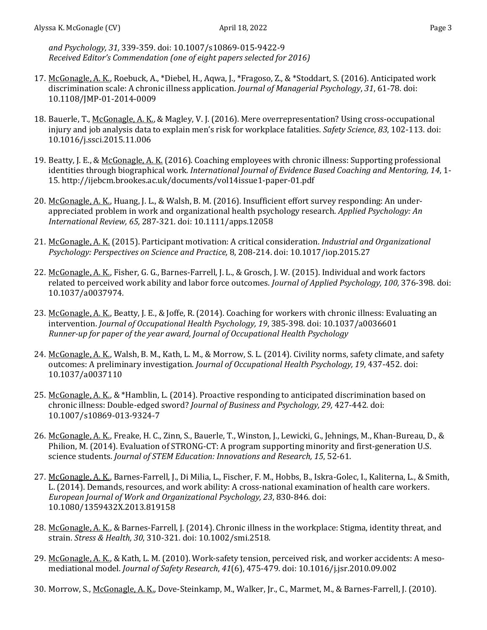*and Psychology, 31,* 339-359. doi: 10.1007/s10869-015-9422-9 *Received Editor's Commendation (one of eight papers selected for 2016)*

- 17. McGonagle, A. K., Roebuck, A., \*Diebel, H., Aqwa, J., \*Fragoso, Z., & \*Stoddart, S. (2016). Anticipated work discrimination scale: A chronic illness application. *Journal of Managerial Psychology*, *31*, 61-78*.* doi: 10.1108/JMP-01-2014-0009
- 18. Bauerle, T., McGonagle, A. K., & Magley, V. J. (2016). Mere overrepresentation? Using cross-occupational injury and job analysis data to explain men's risk for workplace fatalities. *Safety Science*, *83*, 102-113*.* doi: 10.1016/j.ssci.2015.11.006
- 19. Beatty, J. E., & McGonagle, A. K. (2016). Coaching employees with chronic illness: Supporting professional identities through biographical work*. International Journal of Evidence Based Coaching and Mentoring, 14*, 1- 15*.* http://ijebcm.brookes.ac.uk/documents/vol14issue1-paper-01.pdf
- 20. McGonagle, A. K., Huang, J. L., & Walsh, B. M. (2016). Insufficient effort survey responding: An underappreciated problem in work and organizational health psychology research. *Applied Psychology: An International Review, 65,* 287-321*.* doi: 10.1111/apps.12058
- 21. McGonagle, A. K. (2015). Participant motivation: A critical consideration. *Industrial and Organizational Psychology: Perspectives on Science and Practice,* 8, 208-214. doi: 10.1017/iop.2015.27
- 22. McGonagle, A. K., Fisher, G. G., Barnes-Farrell, J. L., & Grosch, J. W. (2015). Individual and work factors related to perceived work ability and labor force outcomes. *Journal of Applied Psychology, 100,* 376-398*.* doi: 10.1037/a0037974*.*
- 23. McGonagle, A. K., Beatty, J. E., & Joffe, R. (2014). Coaching for workers with chronic illness: Evaluating an intervention. *Journal of Occupational Health Psychology, 19*, 385-398. doi: 10.1037/a0036601 *Runner-up for paper of the year award, Journal of Occupational Health Psychology*
- 24. McGonagle, A. K., Walsh, B. M., Kath, L. M., & Morrow, S. L. (2014). Civility norms, safety climate, and safety outcomes: A preliminary investigation. *Journal of Occupational Health Psychology, 19*, 437-452. doi: 10.1037/a0037110
- 25. McGonagle, A. K., & \*Hamblin, L. (2014). Proactive responding to anticipated discrimination based on chronic illness: Double-edged sword? *Journal of Business and Psychology, 29,* 427-442*.* doi: 10.1007/s10869-013-9324-7
- 26. McGonagle, A. K., Freake, H. C., Zinn, S., Bauerle, T., Winston, J., Lewicki, G., Jehnings, M., Khan-Bureau, D., & Philion, M. (2014). Evaluation of STRONG-CT: A program supporting minority and first-generation U.S. science students. *Journal of STEM Education: Innovations and Research, 15*, 52-61.
- 27. McGonagle, A. K., Barnes-Farrell, J., Di Milia, L., Fischer, F. M., Hobbs, B., Iskra-Golec, I., Kaliterna, L., & Smith, L. (2014). Demands, resources, and work ability: A cross-national examination of health care workers. *European Journal of Work and Organizational Psychology, 23*, 830-846*.* doi: 10.1080/1359432X.2013.819158
- 28. McGonagle, A. K., & Barnes-Farrell, J. (2014). Chronic illness in the workplace: Stigma, identity threat, and strain. *Stress & Health, 30*, 310-321*.* doi: 10.1002/smi.2518*.*
- 29. McGonagle, A. K., & Kath, L. M. (2010). Work-safety tension, perceived risk, and worker accidents: A mesomediational model. *Journal of Safety Research*, *41*(6), 475-479. doi: 10.1016/j.jsr.2010.09.002
- 30. Morrow, S., McGonagle, A. K., Dove-Steinkamp, M., Walker, Jr., C., Marmet, M., & Barnes-Farrell, J. (2010).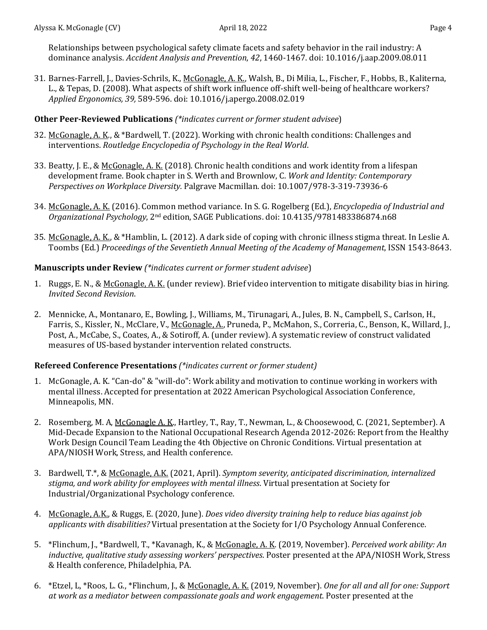Relationships between psychological safety climate facets and safety behavior in the rail industry: A dominance analysis. *Accident Analysis and Prevention*, *42*, 1460-1467. doi: 10.1016/j.aap.2009.08.011

31. Barnes-Farrell, J., Davies-Schrils, K., McGonagle, A. K., Walsh, B., Di Milia, L., Fischer, F., Hobbs, B., Kaliterna, L., & Tepas, D. (2008). What aspects of shift work influence off-shift well-being of healthcare workers? *Applied Ergonomics, 39,* 589-596. doi: 10.1016/j.apergo.2008.02.019

## **Other Peer-Reviewed Publications** *(\*indicates current or former student advisee*)

- 32. McGonagle, A. K., & \*Bardwell, T. (2022). Working with chronic health conditions: Challenges and interventions. *Routledge Encyclopedia of Psychology in the Real World*.
- 33. Beatty, J. E., & McGonagle, A. K. (2018). Chronic health conditions and work identity from a lifespan development frame. Book chapter in S. Werth and Brownlow, C. *Work and Identity: Contemporary Perspectives on Workplace Diversity.* Palgrave Macmillan. doi: 10.1007/978-3-319-73936-6
- 34. McGonagle, A. K. (2016). Common method variance. In S. G. Rogelberg (Ed.), *Encyclopedia of Industrial and Organizational Psychology*, 2nd edition, SAGE Publications. doi: 10.4135/9781483386874.n68
- 35. McGonagle, A. K., & \*Hamblin, L. (2012). A dark side of coping with chronic illness stigma threat. In Leslie A. Toombs (Ed.) *Proceedings of the Seventieth Annual Meeting of the Academy of Management*, ISSN 1543-8643.

## **Manuscripts under Review** *(\*indicates current or former student advisee*)

- 1. Ruggs, E. N., & McGonagle, A. K. (under review). Brief video intervention to mitigate disability bias in hiring. *Invited Second Revision*.
- 2. Mennicke, A., Montanaro, E., Bowling, J., Williams, M., Tirunagari, A., Jules, B. N., Campbell, S., Carlson, H., Farris, S., Kissler, N., McClare, V., McGonagle, A., Pruneda, P., McMahon, S., Correria, C., Benson, K., Willard, J., Post, A., McCabe, S., Coates, A., & Sotiroff, A. (under review). A systematic review of construct validated measures of US-based bystander intervention related constructs.

## **Refereed Conference Presentations** *(\*indicates current or former student)*

- 1. McGonagle, A. K. "Can-do" & "will-do": Work ability and motivation to continue working in workers with mental illness. Accepted for presentation at 2022 American Psychological Association Conference, Minneapolis, MN.
- 2. Rosemberg, M. A, McGonagle A. K., Hartley, T., Ray, T., Newman, L., & Choosewood, C. (2021, September). A Mid-Decade Expansion to the National Occupational Research Agenda 2012-2026: Report from the Healthy Work Design Council Team Leading the 4th Objective on Chronic Conditions. Virtual presentation at APA/NIOSH Work, Stress, and Health conference.
- 3. Bardwell, T.\*, & McGonagle, A.K. (2021, April). *Symptom severity, anticipated discrimination, internalized stigma, and work ability for employees with mental illness*. Virtual presentation at Society for Industrial/Organizational Psychology conference.
- 4. McGonagle, A.K., & Ruggs, E. (2020, June). *Does video diversity training help to reduce bias against job applicants with disabilities?* Virtual presentation at the Society for I/O Psychology Annual Conference.
- 5. \*Flinchum, J., \*Bardwell, T., \*Kavanagh, K., & McGonagle, A. K. (2019, November). *Perceived work ability: An inductive, qualitative study assessing workers' perspectives*. Poster presented at the APA/NIOSH Work, Stress & Health conference, Philadelphia, PA.
- 6. \*Etzel, L, \*Roos, L. G., \*Flinchum, J., & McGonagle, A. K. (2019, November). *One for all and all for one: Support at work as a mediator between compassionate goals and work engagement*. Poster presented at the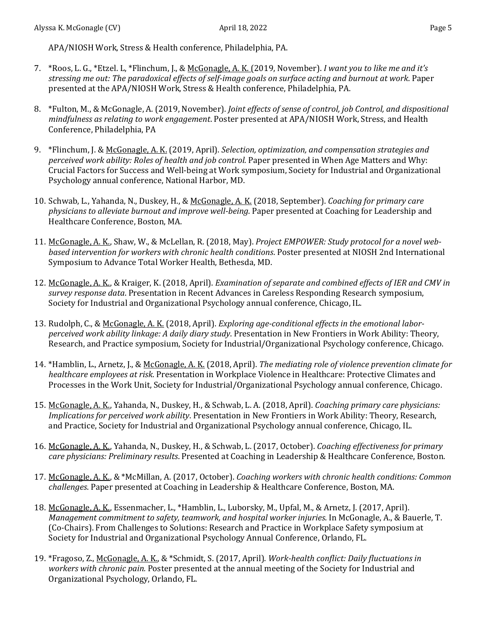APA/NIOSH Work, Stress & Health conference, Philadelphia, PA.

- 7. \*Roos, L. G., \*Etzel. L, \*Flinchum, J., & McGonagle, A. K. (2019, November). *I want you to like me and it's stressing me out: The paradoxical effects of self-image goals on surface acting and burnout at work*. Paper presented at the APA/NIOSH Work, Stress & Health conference, Philadelphia, PA.
- 8. \*Fulton, M., & McGonagle, A. (2019, November). *Joint effects of sense of control, job Control, and dispositional mindfulness as relating to work engagement*. Poster presented at APA/NIOSH Work, Stress, and Health Conference, Philadelphia, PA
- 9. \*Flinchum, J. & McGonagle, A. K. (2019, April). *Selection, optimization, and compensation strategies and perceived work ability: Roles of health and job control.* Paper presented in When Age Matters and Why: Crucial Factors for Success and Well-being at Work symposium, Society for Industrial and Organizational Psychology annual conference, National Harbor, MD.
- 10. Schwab, L., Yahanda, N., Duskey, H., & McGonagle, A. K. (2018, September). *Coaching for primary care physicians to alleviate burnout and improve well-being*. Paper presented at Coaching for Leadership and Healthcare Conference, Boston, MA.
- 11. McGonagle, A. K., Shaw, W., & McLellan, R. (2018, May). *Project EMPOWER: Study protocol for a novel webbased intervention for workers with chronic health conditions*. Poster presented at NIOSH 2nd International Symposium to Advance Total Worker Health, Bethesda, MD.
- 12. McGonagle, A. K., & Kraiger, K. (2018, April). *Examination of separate and combined effects of IER and CMV in survey response data*. Presentation in Recent Advances in Careless Responding Research symposium, Society for Industrial and Organizational Psychology annual conference, Chicago, IL.
- 13. Rudolph, C., & McGonagle, A. K. (2018, April). *Exploring age-conditional effects in the emotional laborperceived work ability linkage: A daily diary study*. Presentation in New Frontiers in Work Ability: Theory, Research, and Practice symposium, Society for Industrial/Organizational Psychology conference, Chicago.
- 14. \*Hamblin, L., Arnetz, J., & McGonagle, A. K. (2018, April). *The mediating role of violence prevention climate for healthcare employees at risk*. Presentation in Workplace Violence in Healthcare: Protective Climates and Processes in the Work Unit, Society for Industrial/Organizational Psychology annual conference, Chicago.
- 15. McGonagle, A. K., Yahanda, N., Duskey, H., & Schwab, L. A. (2018, April). *Coaching primary care physicians: Implications for perceived work ability*. Presentation in New Frontiers in Work Ability: Theory, Research, and Practice, Society for Industrial and Organizational Psychology annual conference, Chicago, IL.
- 16. McGonagle, A. K., Yahanda, N., Duskey, H., & Schwab, L. (2017, October). *Coaching effectiveness for primary care physicians: Preliminary results*. Presented at Coaching in Leadership & Healthcare Conference, Boston.
- 17. McGonagle, A. K., & \*McMillan, A. (2017, October). *Coaching workers with chronic health conditions: Common challenges*. Paper presented at Coaching in Leadership & Healthcare Conference, Boston, MA.
- 18. McGonagle, A. K., Essenmacher, L., \*Hamblin, L., Luborsky, M., Upfal, M., & Arnetz, J. (2017, April). *Management commitment to safety, teamwork, and hospital worker injuries*. In McGonagle, A., & Bauerle, T. (Co-Chairs). From Challenges to Solutions: Research and Practice in Workplace Safety symposium at Society for Industrial and Organizational Psychology Annual Conference, Orlando, FL.
- 19. \*Fragoso, Z., McGonagle, A. K., & \*Schmidt, S. (2017, April). *Work-health conflict: Daily fluctuations in workers with chronic pain.* Poster presented at the annual meeting of the Society for Industrial and Organizational Psychology, Orlando, FL.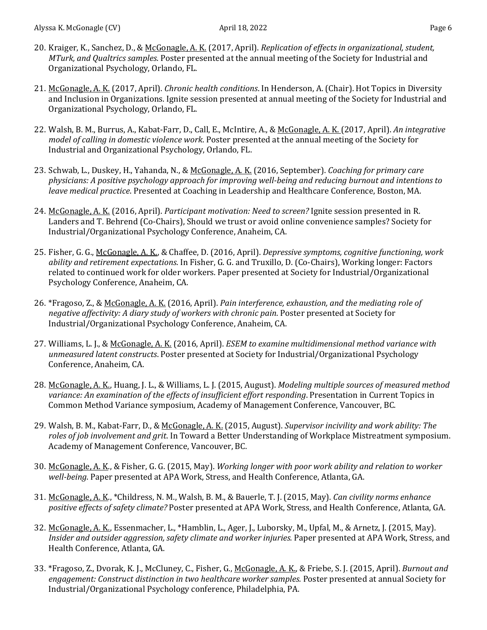- 20. Kraiger, K., Sanchez, D., & McGonagle, A. K. (2017, April). *Replication of effects in organizational, student, MTurk, and Qualtrics samples*. Poster presented at the annual meeting of the Society for Industrial and Organizational Psychology, Orlando, FL.
- 21. McGonagle, A. K. (2017, April). *Chronic health conditions*. In Henderson, A. (Chair). Hot Topics in Diversity and Inclusion in Organizations. Ignite session presented at annual meeting of the Society for Industrial and Organizational Psychology, Orlando, FL.
- 22. Walsh, B. M., Burrus, A., Kabat-Farr, D., Call, E., McIntire, A., & McGonagle, A. K. (2017, April). *An integrative model of calling in domestic violence work*. Poster presented at the annual meeting of the Society for Industrial and Organizational Psychology, Orlando, FL.
- 23. Schwab, L., Duskey, H., Yahanda, N., & McGonagle, A. K. (2016, September). *Coaching for primary care physicians: A positive psychology approach for improving well-being and reducing burnout and intentions to leave medical practice*. Presented at Coaching in Leadership and Healthcare Conference, Boston, MA.
- 24. McGonagle, A. K. (2016, April). *Participant motivation: Need to screen?* Ignite session presented in R. Landers and T. Behrend (Co-Chairs), Should we trust or avoid online convenience samples? Society for Industrial/Organizational Psychology Conference, Anaheim, CA.
- 25. Fisher, G. G., McGonagle, A. K., & Chaffee, D. (2016, April). *Depressive symptoms, cognitive functioning, work ability and retirement expectations*. In Fisher, G. G. and Truxillo, D. (Co-Chairs), Working longer: Factors related to continued work for older workers. Paper presented at Society for Industrial/Organizational Psychology Conference, Anaheim, CA.
- 26. \*Fragoso, Z., & McGonagle, A. K. (2016, April). *Pain interference, exhaustion, and the mediating role of negative affectivity: A diary study of workers with chronic pain*. Poster presented at Society for Industrial/Organizational Psychology Conference, Anaheim, CA.
- 27. Williams, L. J., & McGonagle, A. K. (2016, April). *ESEM to examine multidimensional method variance with unmeasured latent constructs*. Poster presented at Society for Industrial/Organizational Psychology Conference, Anaheim, CA.
- 28. McGonagle, A. K., Huang, J. L., & Williams, L. J. (2015, August). *Modeling multiple sources of measured method variance: An examination of the effects of insufficient effort responding*. Presentation in Current Topics in Common Method Variance symposium, Academy of Management Conference, Vancouver, BC.
- 29. Walsh, B. M., Kabat-Farr, D., & McGonagle, A. K. (2015, August). *Supervisor incivility and work ability: The roles of job involvement and grit*. In Toward a Better Understanding of Workplace Mistreatment symposium. Academy of Management Conference, Vancouver, BC.
- 30. McGonagle, A. K., & Fisher, G. G. (2015, May). *Working longer with poor work ability and relation to worker well-being*. Paper presented at APA Work, Stress, and Health Conference, Atlanta, GA.
- 31. McGonagle, A. K., \*Childress, N. M., Walsh, B. M., & Bauerle, T. J. (2015, May). *Can civility norms enhance positive effects of safety climate?* Poster presented at APA Work, Stress, and Health Conference, Atlanta, GA.
- 32. McGonagle, A. K., Essenmacher, L., \*Hamblin, L., Ager, J., Luborsky, M., Upfal, M., & Arnetz, J. (2015, May). *Insider and outsider aggression, safety climate and worker injuries.* Paper presented at APA Work, Stress, and Health Conference, Atlanta, GA.
- 33. \*Fragoso, Z., Dvorak, K. J., McCluney, C., Fisher, G., McGonagle, A. K., & Friebe, S. J. (2015, April). *Burnout and engagement: Construct distinction in two healthcare worker samples.* Poster presented at annual Society for Industrial/Organizational Psychology conference, Philadelphia, PA.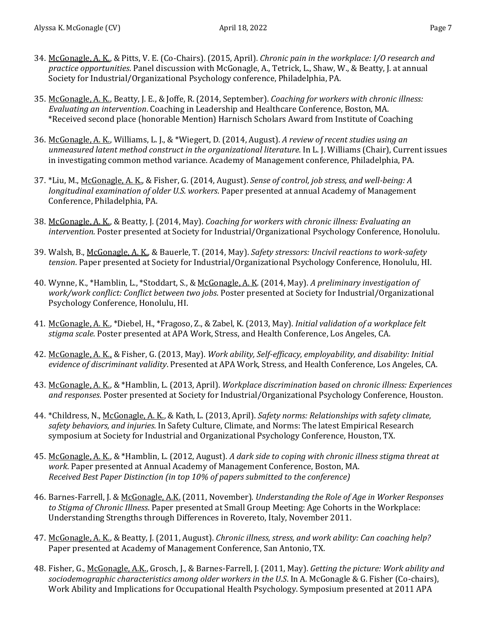- 34. McGonagle, A. K., & Pitts, V. E. (Co-Chairs). (2015, April). *Chronic pain in the workplace: I/O research and practice opportunities*. Panel discussion with McGonagle, A., Tetrick, L., Shaw, W., & Beatty, J. at annual Society for Industrial/Organizational Psychology conference, Philadelphia, PA.
- 35. McGonagle, A. K., Beatty, J. E., & Joffe, R. (2014, September). *Coaching for workers with chronic illness: Evaluating an intervention*. Coaching in Leadership and Healthcare Conference, Boston, MA. \*Received second place (honorable Mention) Harnisch Scholars Award from Institute of Coaching
- 36. McGonagle, A. K., Williams, L. J., & \*Wiegert, D. (2014, August). *A review of recent studies using an unmeasured latent method construct in the organizational literature*. In L. J. Williams (Chair), Current issues in investigating common method variance. Academy of Management conference, Philadelphia, PA.
- 37. \*Liu, M., McGonagle, A. K., & Fisher, G. (2014, August). *Sense of control, job stress, and well-being: A longitudinal examination of older U.S. workers*. Paper presented at annual Academy of Management Conference, Philadelphia, PA.
- 38. McGonagle, A. K., & Beatty, J. (2014, May). *Coaching for workers with chronic illness: Evaluating an intervention*. Poster presented at Society for Industrial/Organizational Psychology Conference, Honolulu.
- 39. Walsh, B., McGonagle, A. K., & Bauerle, T. (2014, May). *Safety stressors: Uncivil reactions to work-safety tension*. Paper presented at Society for Industrial/Organizational Psychology Conference, Honolulu, HI.
- 40. Wynne, K., \*Hamblin, L., \*Stoddart, S., & McGonagle, A. K. (2014, May). *A preliminary investigation of work/work conflict: Conflict between two jobs*. Poster presented at Society for Industrial/Organizational Psychology Conference, Honolulu, HI.
- 41. McGonagle, A. K., \*Diebel, H., \*Fragoso, Z., & Zabel, K. (2013, May). *Initial validation of a workplace felt stigma scale*. Poster presented at APA Work, Stress, and Health Conference, Los Angeles, CA.
- 42. McGonagle, A. K., & Fisher, G. (2013, May). *Work ability, Self-efficacy, employability, and disability: Initial evidence of discriminant validity*. Presented at APA Work, Stress, and Health Conference, Los Angeles, CA.
- 43. McGonagle, A. K., & \*Hamblin, L. (2013, April). *Workplace discrimination based on chronic illness: Experiences and responses*. Poster presented at Society for Industrial/Organizational Psychology Conference, Houston.
- 44. \*Childress, N., McGonagle, A. K., & Kath, L. (2013, April). *Safety norms: Relationships with safety climate, safety behaviors, and injuries*. In Safety Culture, Climate, and Norms: The latest Empirical Research symposium at Society for Industrial and Organizational Psychology Conference, Houston, TX.
- 45. McGonagle, A. K., & \*Hamblin, L. (2012, August). *A dark side to coping with chronic illness stigma threat at work*. Paper presented at Annual Academy of Management Conference, Boston, MA. *Received Best Paper Distinction (in top 10% of papers submitted to the conference)*
- 46. Barnes-Farrell, J. & McGonagle, A.K. (2011, November). *Understanding the Role of Age in Worker Responses to Stigma of Chronic Illness*. Paper presented at Small Group Meeting: Age Cohorts in the Workplace: Understanding Strengths through Differences in Rovereto, Italy, November 2011.
- 47. McGonagle, A. K., & Beatty, J. (2011, August). *Chronic illness, stress, and work ability: Can coaching help?* Paper presented at Academy of Management Conference, San Antonio, TX.
- 48. Fisher, G., McGonagle, A.K., Grosch, J., & Barnes-Farrell, J. (2011, May). *Getting the picture: Work ability and sociodemographic characteristics among older workers in the U.S*. In A. McGonagle & G. Fisher (Co-chairs), Work Ability and Implications for Occupational Health Psychology. Symposium presented at 2011 APA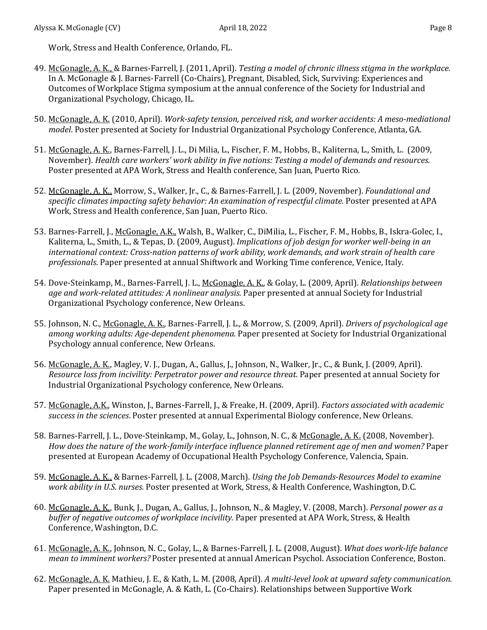Work, Stress and Health Conference, Orlando, FL.

- 49. McGonagle, A. K., & Barnes-Farrell, J. (2011, April). *Testing a model of chronic illness stigma in the workplace.* In A. McGonagle & J. Barnes-Farrell (Co-Chairs), Pregnant, Disabled, Sick, Surviving: Experiences and Outcomes of Workplace Stigma symposium at the annual conference of the Society for Industrial and Organizational Psychology, Chicago, IL.
- 50. McGonagle, A. K. (2010, April). *Work-safety tension, perceived risk, and worker accidents: A meso-mediational model*. Poster presented at Society for Industrial Organizational Psychology Conference, Atlanta, GA.
- 51. McGonagle, A. K., Barnes-Farrell, J. L., Di Milia, L., Fischer, F. M., Hobbs, B., Kaliterna, L., Smith, L. (2009, November). *Health care workers' work ability in five nations: Testing a model of demands and resources.* Poster presented at APA Work, Stress and Health conference, San Juan, Puerto Rico.
- 52. McGonagle, A. K., Morrow, S., Walker, Jr., C., & Barnes-Farrell, J. L. (2009, November). *Foundational and specific climates impacting safety behavior: An examination of respectful climate.* Poster presented at APA Work, Stress and Health conference, San Juan, Puerto Rico.
- 53. Barnes-Farrell, J., McGonagle, A.K., Walsh, B., Walker, C., DiMilia, L., Fischer, F. M., Hobbs, B., Iskra-Golec, I., Kaliterna, L., Smith, L., & Tepas, D. (2009, August). *Implications of job design for worker well-being in an international context: Cross-nation patterns of work ability, work demands, and work strain of health care professionals*. Paper presented at annual Shiftwork and Working Time conference, Venice, Italy.
- 54. Dove-Steinkamp, M., Barnes-Farrell, J. L., McGonagle, A. K., & Golay, L. (2009, April). *Relationships between age and work-related attitudes: A nonlinear analysis.* Paper presented at annual Society for Industrial Organizational Psychology conference, New Orleans.
- 55. Johnson, N. C., McGonagle, A. K., Barnes-Farrell, J. L., & Morrow, S. (2009, April). *Drivers of psychological age among working adults: Age-dependent phenomena.* Paper presented at Society for Industrial Organizational Psychology annual conference, New Orleans.
- 56. McGonagle, A. K., Magley, V. J., Dugan, A., Gallus, J., Johnson, N., Walker, Jr., C., & Bunk, J. (2009, April). *Resource loss from incivility: Perpetrator power and resource threat.* Paper presented at annual Society for Industrial Organizational Psychology conference, New Orleans.
- 57. McGonagle, A.K., Winston, J., Barnes-Farrell, J., & Freake, H. (2009, April). *Factors associated with academic success in the sciences*. Poster presented at annual Experimental Biology conference, New Orleans.
- 58. Barnes-Farrell, J. L., Dove-Steinkamp, M., Golay, L., Johnson, N. C., & McGonagle, A. K. (2008, November). *How does the nature of the work-family interface influence planned retirement age of men and women?* Paper presented at European Academy of Occupational Health Psychology Conference, Valencia, Spain.
- 59. McGonagle, A. K., & Barnes-Farrell, J. L. (2008, March). *Using the Job Demands-Resources Model to examine work ability in U.S. nurses.* Poster presented at Work, Stress, & Health Conference, Washington, D.C.
- 60. McGonagle, A. K., Bunk, J., Dugan, A., Gallus, J., Johnson, N., & Magley, V. (2008, March). *Personal power as a buffer of negative outcomes of workplace incivility.* Paper presented at APA Work, Stress, & Health Conference, Washington, D.C.
- 61. McGonagle, A. K., Johnson, N. C., Golay, L., & Barnes-Farrell, J. L. (2008, August). *What does work-life balance mean to imminent workers?* Poster presented at annual American Psychol. Association Conference, Boston.
- 62. McGonagle, A. K. Mathieu, J. E., & Kath, L. M. (2008, April). *A multi-level look at upward safety communication.* Paper presented in McGonagle, A. & Kath, L. (Co-Chairs). Relationships between Supportive Work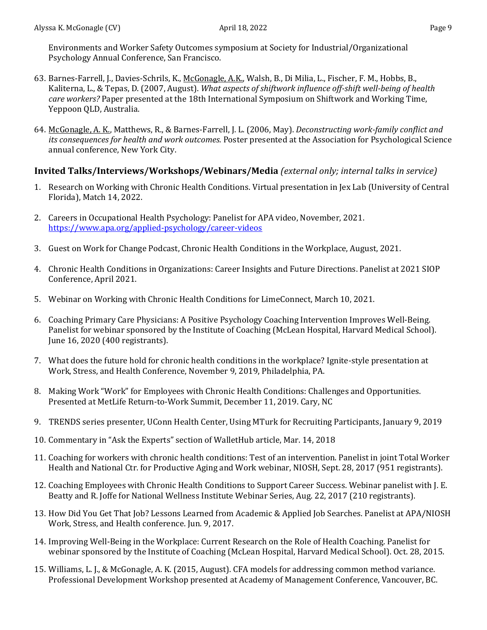Environments and Worker Safety Outcomes symposium at Society for Industrial/Organizational Psychology Annual Conference, San Francisco.

- 63. Barnes-Farrell, J., Davies-Schrils, K., McGonagle, A.K., Walsh, B., Di Milia, L., Fischer, F. M., Hobbs, B., Kaliterna, L., & Tepas, D. (2007, August). *What aspects of shiftwork influence off-shift well-being of health care workers?* Paper presented at the 18th International Symposium on Shiftwork and Working Time, Yeppoon QLD, Australia.
- 64. McGonagle, A. K., Matthews, R., & Barnes-Farrell, J. L. (2006, May). *Deconstructing work-family conflict and its consequences for health and work outcomes.* Poster presented at the Association for Psychological Science annual conference, New York City.

## **Invited Talks/Interviews/Workshops/Webinars/Media** *(external only; internal talks in service)*

- 1. Research on Working with Chronic Health Conditions. Virtual presentation in Jex Lab (University of Central Florida), Match 14, 2022.
- 2. Careers in Occupational Health Psychology: Panelist for APA video, November, 2021. <https://www.apa.org/applied-psychology/career-videos>
- 3. Guest on Work for Change Podcast, Chronic Health Conditions in the Workplace, August, 2021.
- 4. Chronic Health Conditions in Organizations: Career Insights and Future Directions. Panelist at 2021 SIOP Conference, April 2021.
- 5. Webinar on Working with Chronic Health Conditions for LimeConnect, March 10, 2021.
- 6. Coaching Primary Care Physicians: A Positive Psychology Coaching Intervention Improves Well-Being. Panelist for webinar sponsored by the Institute of Coaching (McLean Hospital, Harvard Medical School). June 16, 2020 (400 registrants).
- 7. What does the future hold for chronic health conditions in the workplace? Ignite-style presentation at Work, Stress, and Health Conference, November 9, 2019, Philadelphia, PA.
- 8. Making Work "Work" for Employees with Chronic Health Conditions: Challenges and Opportunities. Presented at MetLife Return-to-Work Summit, December 11, 2019. Cary, NC
- 9. TRENDS series presenter, UConn Health Center, Using MTurk for Recruiting Participants, January 9, 2019
- 10. Commentary in "Ask the Experts" section of WalletHub article, Mar. 14, 2018
- 11. Coaching for workers with chronic health conditions: Test of an intervention. Panelist in joint Total Worker Health and National Ctr. for Productive Aging and Work webinar, NIOSH, Sept. 28, 2017 (951 registrants).
- 12. Coaching Employees with Chronic Health Conditions to Support Career Success. Webinar panelist with J. E. Beatty and R. Joffe for National Wellness Institute Webinar Series, Aug. 22, 2017 (210 registrants).
- 13. How Did You Get That Job? Lessons Learned from Academic & Applied Job Searches. Panelist at APA/NIOSH Work, Stress, and Health conference. Jun. 9, 2017.
- 14. Improving Well-Being in the Workplace: Current Research on the Role of Health Coaching. Panelist for webinar sponsored by the Institute of Coaching (McLean Hospital, Harvard Medical School). Oct. 28, 2015.
- 15. Williams, L. J., & McGonagle, A. K. (2015, August). CFA models for addressing common method variance. Professional Development Workshop presented at Academy of Management Conference, Vancouver, BC.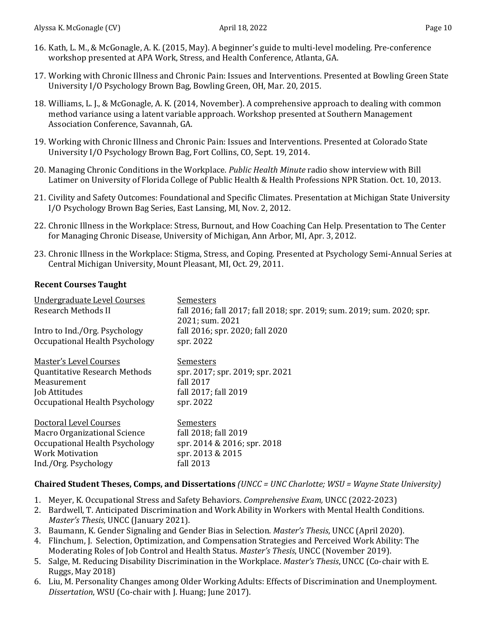- 16. Kath, L. M., & McGonagle, A. K. (2015, May). A beginner's guide to multi-level modeling. Pre-conference workshop presented at APA Work, Stress, and Health Conference, Atlanta, GA.
- 17. Working with Chronic Illness and Chronic Pain: Issues and Interventions. Presented at Bowling Green State University I/O Psychology Brown Bag, Bowling Green, OH, Mar. 20, 2015.
- 18. Williams, L. J., & McGonagle, A. K. (2014, November). A comprehensive approach to dealing with common method variance using a latent variable approach. Workshop presented at Southern Management Association Conference, Savannah, GA.
- 19. Working with Chronic Illness and Chronic Pain: Issues and Interventions. Presented at Colorado State University I/O Psychology Brown Bag, Fort Collins, CO, Sept. 19, 2014.
- 20. Managing Chronic Conditions in the Workplace. *Public Health Minute* radio show interview with Bill Latimer on University of Florida College of Public Health & Health Professions NPR Station. Oct. 10, 2013.
- 21. Civility and Safety Outcomes: Foundational and Specific Climates. Presentation at Michigan State University I/O Psychology Brown Bag Series, East Lansing, MI, Nov. 2, 2012.
- 22. Chronic Illness in the Workplace: Stress, Burnout, and How Coaching Can Help. Presentation to The Center for Managing Chronic Disease, University of Michigan, Ann Arbor, MI, Apr. 3, 2012.
- 23. Chronic Illness in the Workplace: Stigma, Stress, and Coping. Presented at Psychology Semi-Annual Series at Central Michigan University, Mount Pleasant, MI, Oct. 29, 2011.

## **Recent Courses Taught**

| Undergraduate Level Courses<br><b>Research Methods II</b> | Semesters<br>fall 2016; fall 2017; fall 2018; spr. 2019; sum. 2019; sum. 2020; spr.<br>2021; sum. 2021 |
|-----------------------------------------------------------|--------------------------------------------------------------------------------------------------------|
| Intro to Ind./Org. Psychology                             | fall 2016; spr. 2020; fall 2020                                                                        |
| Occupational Health Psychology                            | spr. 2022                                                                                              |
| <b>Master's Level Courses</b>                             | <u>Semesters</u>                                                                                       |
| <b>Quantitative Research Methods</b>                      | spr. 2017; spr. 2019; spr. 2021                                                                        |
| Measurement                                               | fall 2017                                                                                              |
| Job Attitudes                                             | fall 2017; fall 2019                                                                                   |
| Occupational Health Psychology                            | spr. 2022                                                                                              |
| Doctoral Level Courses                                    | Semesters                                                                                              |
| <b>Macro Organizational Science</b>                       | fall 2018; fall 2019                                                                                   |
| Occupational Health Psychology                            | spr. 2014 & 2016; spr. 2018                                                                            |
| <b>Work Motivation</b>                                    | spr. 2013 & 2015                                                                                       |
| Ind./Org. Psychology                                      | fall 2013                                                                                              |

## **Chaired Student Theses, Comps, and Dissertations** *(UNCC = UNC Charlotte; WSU = Wayne State University)*

- 1. Meyer, K. Occupational Stress and Safety Behaviors. *Comprehensive Exam,* UNCC (2022-2023)
- 2. Bardwell, T. Anticipated Discrimination and Work Ability in Workers with Mental Health Conditions. *Master's Thesis*, UNCC (January 2021).
- 3. Baumann, K. Gender Signaling and Gender Bias in Selection. *Master's Thesis*, UNCC (April 2020).
- 4. Flinchum, J. Selection, Optimization, and Compensation Strategies and Perceived Work Ability: The Moderating Roles of Job Control and Health Status. *Master's Thesis*, UNCC (November 2019).
- 5. Salge, M. Reducing Disability Discrimination in the Workplace. *Master's Thesis*, UNCC (Co-chair with E. Ruggs, May 2018)
- 6. Liu, M. Personality Changes among Older Working Adults: Effects of Discrimination and Unemployment. *Dissertation*, WSU (Co-chair with J. Huang; June 2017).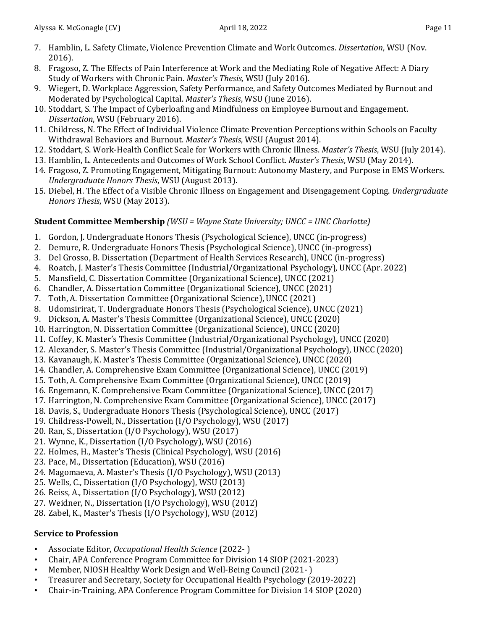- 7. Hamblin, L. Safety Climate, Violence Prevention Climate and Work Outcomes. *Dissertation*, WSU (Nov. 2016).
- 8. Fragoso, Z. The Effects of Pain Interference at Work and the Mediating Role of Negative Affect: A Diary Study of Workers with Chronic Pain. *Master's Thesis,* WSU (July 2016).
- 9. Wiegert, D. Workplace Aggression, Safety Performance, and Safety Outcomes Mediated by Burnout and Moderated by Psychological Capital. *Master's Thesis*, WSU (June 2016).
- 10. Stoddart, S. The Impact of Cyberloafing and Mindfulness on Employee Burnout and Engagement. *Dissertation*, WSU (February 2016).
- 11. Childress, N. The Effect of Individual Violence Climate Prevention Perceptions within Schools on Faculty Withdrawal Behaviors and Burnout. *Master's Thesis*, WSU (August 2014).
- 12. Stoddart, S. Work-Health Conflict Scale for Workers with Chronic Illness. *Master's Thesis*, WSU (July 2014).
- 13. Hamblin, L. Antecedents and Outcomes of Work School Conflict. *Master's Thesis*, WSU (May 2014).
- 14. Fragoso, Z. Promoting Engagement, Mitigating Burnout: Autonomy Mastery, and Purpose in EMS Workers. *Undergraduate Honors Thesis*, WSU (August 2013).
- 15. Diebel, H. The Effect of a Visible Chronic Illness on Engagement and Disengagement Coping. *Undergraduate Honors Thesis*, WSU (May 2013).

## **Student Committee Membership** *(WSU = Wayne State University; UNCC = UNC Charlotte)*

- 1. Gordon, J. Undergraduate Honors Thesis (Psychological Science), UNCC (in-progress)
- 2. Demure, R. Undergraduate Honors Thesis (Psychological Science), UNCC (in-progress)
- 3. Del Grosso, B. Dissertation (Department of Health Services Research), UNCC (in-progress)
- 4. Roatch, J. Master's Thesis Committee (Industrial/Organizational Psychology), UNCC (Apr. 2022)
- 5. Mansfield, C. Dissertation Committee (Organizational Science), UNCC (2021)
- 6. Chandler, A. Dissertation Committee (Organizational Science), UNCC (2021)
- 7. Toth, A. Dissertation Committee (Organizational Science), UNCC (2021)
- 8. Udomsirirat, T. Undergraduate Honors Thesis (Psychological Science), UNCC (2021)
- 9. Dickson, A. Master's Thesis Committee (Organizational Science), UNCC (2020)
- 10. Harrington, N. Dissertation Committee (Organizational Science), UNCC (2020)
- 11. Coffey, K. Master's Thesis Committee (Industrial/Organizational Psychology), UNCC (2020)
- 12. Alexander, S. Master's Thesis Committee (Industrial/Organizational Psychology), UNCC (2020)
- 13. Kavanaugh, K. Master's Thesis Committee (Organizational Science), UNCC (2020)
- 14. Chandler, A. Comprehensive Exam Committee (Organizational Science), UNCC (2019)
- 15. Toth, A. Comprehensive Exam Committee (Organizational Science), UNCC (2019)
- 16. Engemann, K. Comprehensive Exam Committee (Organizational Science), UNCC (2017)
- 17. Harrington, N. Comprehensive Exam Committee (Organizational Science), UNCC (2017)
- 18. Davis, S., Undergraduate Honors Thesis (Psychological Science), UNCC (2017)
- 19. Childress-Powell, N., Dissertation (I/O Psychology), WSU (2017)
- 20. Ran, S., Dissertation (I/O Psychology), WSU (2017)
- 21. Wynne, K., Dissertation (I/O Psychology), WSU (2016)
- 22. Holmes, H., Master's Thesis (Clinical Psychology), WSU (2016)
- 23. Pace, M., Dissertation (Education), WSU (2016)
- 24. Magomaeva, A. Master's Thesis (I/O Psychology), WSU (2013)
- 25. Wells, C., Dissertation (I/O Psychology), WSU (2013)
- 26. Reiss, A., Dissertation (I/O Psychology), WSU (2012)
- 27. Weidner, N., Dissertation (I/O Psychology), WSU (2012)
- 28. Zabel, K., Master's Thesis (I/O Psychology), WSU (2012)

## **Service to Profession**

- Associate Editor, *Occupational Health Science* (2022- )
- Chair, APA Conference Program Committee for Division 14 SIOP (2021-2023)
- Member, NIOSH Healthy Work Design and Well-Being Council (2021- )
- Treasurer and Secretary, Society for Occupational Health Psychology (2019-2022)
- Chair-in-Training, APA Conference Program Committee for Division 14 SIOP (2020)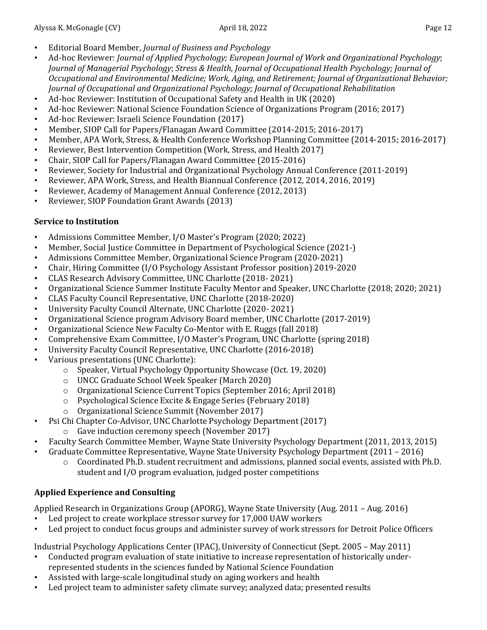- Editorial Board Member, *Journal of Business and Psychology*
- Ad-hoc Reviewer: *Journal of Applied Psychology; European Journal of Work and Organizational Psychology*; *Journal of Managerial Psychology*; *Stress & Health*, *Journal of Occupational Health Psychology; Journal of Occupational and Environmental Medicine; Work, Aging, and Retirement; Journal of Organizational Behavior; Journal of Occupational and Organizational Psychology; Journal of Occupational Rehabilitation*
- Ad-hoc Reviewer: Institution of Occupational Safety and Health in UK (2020)
- Ad-hoc Reviewer: National Science Foundation Science of Organizations Program (2016; 2017)<br>• Ad-hoc Reviewer: Israeli Science Foundation (2017)
- Ad-hoc Reviewer: Israeli Science Foundation (2017)<br>• Member SIOP Call for Paners (Flanagan Award Comr
- Member, SIOP Call for Papers/Flanagan Award Committee (2014-2015; 2016-2017)<br>• Member, APA Work, Stress, & Health Conference Workshop Planning Committee (20)
- Member, APA Work, Stress, & Health Conference Workshop Planning Committee (2014-2015; 2016-2017)<br>• Reviewer, Best Intervention Competition (Work, Stress, and Health 2017)
- Reviewer, Best Intervention Competition (Work, Stress, and Health 2017)<br>• Chair, SIOP Call for Papers/Flanagan Award Committee (2015-2016)
- Chair, SIOP Call for Papers/Flanagan Award Committee (2015-2016)<br>• Reviewer, Society for Industrial and Organizational Psychology Annua
- Reviewer, Society for Industrial and Organizational Psychology Annual Conference (2011-2019)
- Reviewer, APA Work, Stress, and Health Biannual Conference (2012, 2014, 2016, 2019)<br>• Reviewer, Academy of Management Annual Conference (2012, 2013)
- Reviewer, Academy of Management Annual Conference (2012, 2013)<br>• Reviewer, SIOP Foundation Grant Awards (2013)
- Reviewer, SIOP Foundation Grant Awards (2013)

## **Service to Institution**

- Admissions Committee Member, I/O Master's Program (2020; 2022)
- Member, Social Justice Committee in Department of Psychological Science (2021-)<br>• Admissions Committee Member, Organizational Science Program (2020-2021)
- Admissions Committee Member, Organizational Science Program (2020-2021)
- Chair, Hiring Committee (I/O Psychology Assistant Professor position) 2019-2020
- CLAS Research Advisory Committee, UNC Charlotte (2018-2021)<br>• Organizational Science Summer Institute Faculty Mentor and Spea
- Organizational Science Summer Institute Faculty Mentor and Speaker, UNC Charlotte (2018; 2020; 2021)<br>• CLAS Eaculty Council Representative JINC Charlotte (2018-2020)
- CLAS Faculty Council Representative, UNC Charlotte (2018-2020)<br>• University Faculty Council Alternate, UNC Charlotte (2020-2021)
- University Faculty Council Alternate, UNC Charlotte (2020- 2021)
- Organizational Science program Advisory Board member, UNC Charlotte (2017-2019)<br>• Organizational Science New Faculty Co-Mentor with E. Ruggs (fall 2018)
- Organizational Science New Faculty Co-Mentor with E. Ruggs (fall 2018)
- Comprehensive Exam Committee, I/O Master's Program, UNC Charlotte (spring 2018)<br>• Iniversity Faculty Council Representative IINC Charlotte (2016-2018)
- University Faculty Council Representative, UNC Charlotte (2016-2018)
- Various presentations (UNC Charlotte):
	- o Speaker, Virtual Psychology Opportunity Showcase (Oct. 19, 2020)
	- o UNCC Graduate School Week Speaker (March 2020)
	- o Organizational Science Current Topics (September 2016; April 2018)
	- o Psychological Science Excite & Engage Series (February 2018)
	- o Organizational Science Summit (November 2017)
- Psi Chi Chapter Co-Advisor, UNC Charlotte Psychology Department (2017)
	- o Gave induction ceremony speech (November 2017)
- Faculty Search Committee Member, Wayne State University Psychology Department (2011, 2013, 2015)
- Graduate Committee Representative, Wayne State University Psychology Department (2011 2016)
	- o Coordinated Ph.D. student recruitment and admissions, planned social events, assisted with Ph.D. student and I/O program evaluation, judged poster competitions

# **Applied Experience and Consulting**

Applied Research in Organizations Group (APORG), Wayne State University (Aug. 2011 – Aug. 2016)<br>• Led project to create workplace stressor survey for 17.000 UAW workers

- Led project to create workplace stressor survey for 17,000 UAW workers<br>• Led project to conduct focus groups and administer survey of work stress
- Led project to conduct focus groups and administer survey of work stressors for Detroit Police Officers

Industrial Psychology Applications Center (IPAC), University of Connecticut (Sept. 2005 – May 2011)<br>Conducted program evaluation of state initiative to increase representation of historically under-

- Conducted program evaluation of state initiative to increase representation of historically underrepresented students in the sciences funded by National Science Foundation
- Assisted with large-scale longitudinal study on aging workers and health
- Led project team to administer safety climate survey; analyzed data; presented results